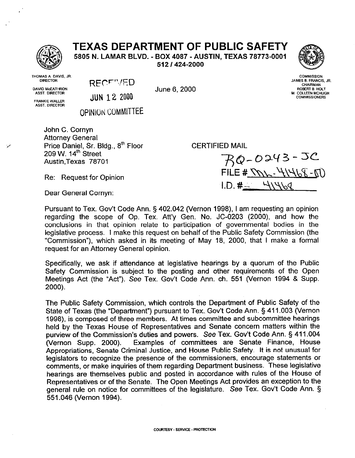## **TEXAS DEPARTMENT OF PUBLIC SAFETY**

5805 N. LAMAR BLVD. - BOX 4087 - AUSTIN, TEXAS 78773-0001

512 I 424-2000



THOMAS A. DAVIS, JR. **DIRECTOR DAVID McEATHRON** 

ASST. DIRECTOR

**FRANKIE WALLER ASST. DIRECTOR** 

RECEVED

June 6, 2000

**COMMISSION** JAMES B. FRANCIS, JR. **CHAIRMAN** ROBERT B. HOLT M. COLLEEN MCHUGH **COMMISSIONERS** 

**JUN 12 2000** 

**OPINION COMMITTEE** 

John C. Cornyn Attorney General Price Daniel, Sr. Bldg., 8'h Floor 209 W. 14'h Street Austin.Texas 78701

CERTIFIED MAIL

**-oaV3--JC**   $FILE # NN - 41468 - 50$  $1. D. # - 41469$ 

Dear General Cornyn:

Re: Request for Opinion

Pursuant to Tex. Gov't Code Ann. § 402.042 (Vernon 1998), I am requesting an opinion regarding the scope of Op. Tex. Att'y Gen. No. JC-0203 (2000), and how the conclusions in that opinion relate to participation of governmental bodies in the legislative process. I make this request on behalf of the Public Safety Commission (the "Commission"), which asked in its meeting of May 18, 2000, that I make a formal request for an Attorney General opinion.

Specifically, we ask if attendance at legislative hearings by a quorum of the Public Safety Commission is subject to the posting and other requirements of the Open Meetings Act (the "Act"). See Tex. Gov't Code Ann. ch. 551 (Vernon 1994 & Supp. 2000).

The Public Safety Commission, which controls the Department of Public Safety of the State of Texas (the "Department") pursuant to Tex. Gov't Code Ann. § 411.003 (Vernon 1998), is composed of three members. At times committee and subcommittee hearings held by the Texas House of Representatives and Senate concern matters within the purview of the Commission's duties and powers. See Tex. Gov't Code Ann. § 411.004 (Vernon Supp. 2000). Examples of committees are Senate Finance, House Examples of committees are Senate Finance, House Appropriations, Senate Criminal Justice, and House Public Safety. It is not unusual for legislators to recognize the presence of the commissioners, encourage statements or comments, or make inquiries of them regarding Department business. These legislative hearings are themselves public and posted in accordance with rules of the House of Representatives or of the Senate. The Open Meetings Act provides an exception to the general rule on notice for committees of the legislature. See Tex. Gov't Code Ann. \$i 551.046 (Vernon 1994).